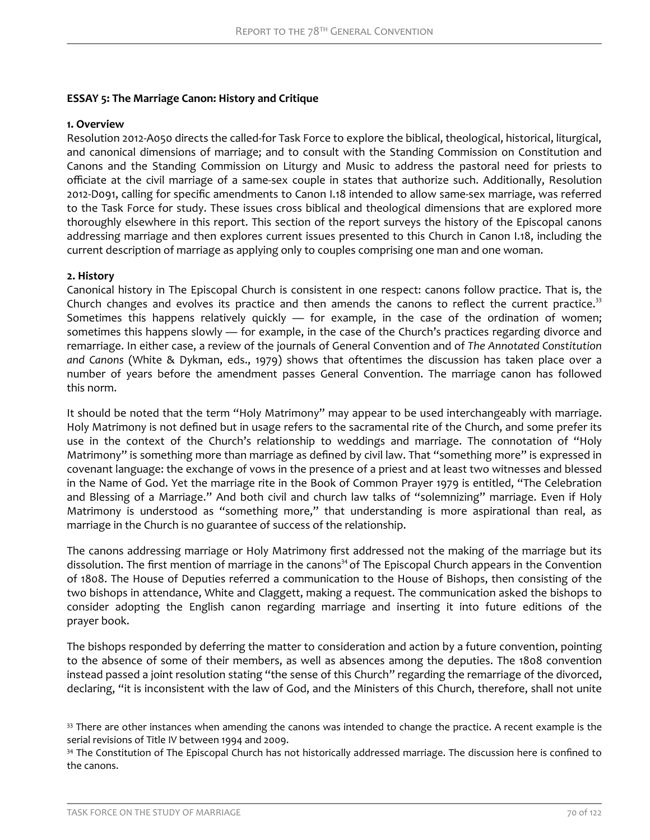#### **ESSAY 5: The Marriage Canon: History and Critique**

#### **1. Overview**

Resolution 2012-A050 directs the called-for Task Force to explore the biblical, theological, historical, liturgical, and canonical dimensions of marriage; and to consult with the Standing Commission on Constitution and Canons and the Standing Commission on Liturgy and Music to address the pastoral need for priests to officiate at the civil marriage of a same-sex couple in states that authorize such. Additionally, Resolution 2012-D091, calling for specific amendments to Canon I.18 intended to allow same-sex marriage, was referred to the Task Force for study. These issues cross biblical and theological dimensions that are explored more thoroughly elsewhere in this report. This section of the report surveys the history of the Episcopal canons addressing marriage and then explores current issues presented to this Church in Canon I.18, including the current description of marriage as applying only to couples comprising one man and one woman.

#### **2. History**

Canonical history in The Episcopal Church is consistent in one respect: canons follow practice. That is, the Church changes and evolves its practice and then amends the canons to reflect the current practice. $33$ Sometimes this happens relatively quickly  $-$  for example, in the case of the ordination of women; sometimes this happens slowly — for example, in the case of the Church's practices regarding divorce and remarriage. In either case, a review of the journals of General Convention and of *The Annotated Constitution and Canons* (White & Dykman, eds., 1979) shows that oftentimes the discussion has taken place over a number of years before the amendment passes General Convention. The marriage canon has followed this norm.

It should be noted that the term "Holy Matrimony" may appear to be used interchangeably with marriage. Holy Matrimony is not defined but in usage refers to the sacramental rite of the Church, and some prefer its use in the context of the Church's relationship to weddings and marriage. The connotation of "Holy Matrimony" is something more than marriage as defined by civil law. That "something more" is expressed in covenant language: the exchange of vows in the presence of a priest and at least two witnesses and blessed in the Name of God. Yet the marriage rite in the Book of Common Prayer 1979 is entitled, "The Celebration and Blessing of a Marriage." And both civil and church law talks of "solemnizing" marriage. Even if Holy Matrimony is understood as "something more," that understanding is more aspirational than real, as marriage in the Church is no guarantee of success of the relationship.

The canons addressing marriage or Holy Matrimony first addressed not the making of the marriage but its dissolution. The first mention of marriage in the canons<sup>34</sup> of The Episcopal Church appears in the Convention of 1808. The House of Deputies referred a communication to the House of Bishops, then consisting of the two bishops in attendance, White and Claggett, making a request. The communication asked the bishops to consider adopting the English canon regarding marriage and inserting it into future editions of the prayer book.

The bishops responded by deferring the matter to consideration and action by a future convention, pointing to the absence of some of their members, as well as absences among the deputies. The 1808 convention instead passed a joint resolution stating "the sense of this Church" regarding the remarriage of the divorced, declaring, "it is inconsistent with the law of God, and the Ministers of this Church, therefore, shall not unite

<sup>34</sup> The Constitution of The Episcopal Church has not historically addressed marriage. The discussion here is confined to the canons.

<sup>&</sup>lt;sup>33</sup> There are other instances when amending the canons was intended to change the practice. A recent example is the serial revisions of Title IV between 1994 and 2009.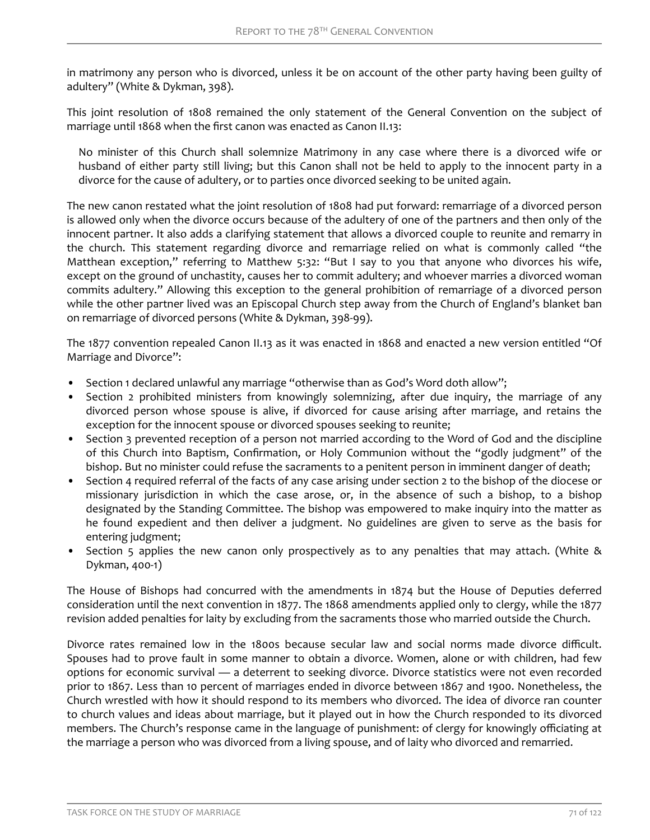in matrimony any person who is divorced, unless it be on account of the other party having been guilty of adultery" (White & Dykman, 398).

This joint resolution of 1808 remained the only statement of the General Convention on the subject of marriage until 1868 when the first canon was enacted as Canon II.13:

No minister of this Church shall solemnize Matrimony in any case where there is a divorced wife or husband of either party still living; but this Canon shall not be held to apply to the innocent party in a divorce for the cause of adultery, or to parties once divorced seeking to be united again.

The new canon restated what the joint resolution of 1808 had put forward: remarriage of a divorced person is allowed only when the divorce occurs because of the adultery of one of the partners and then only of the innocent partner. It also adds a clarifying statement that allows a divorced couple to reunite and remarry in the church. This statement regarding divorce and remarriage relied on what is commonly called "the Matthean exception," referring to Matthew 5:32: "But I say to you that anyone who divorces his wife, except on the ground of unchastity, causes her to commit adultery; and whoever marries a divorced woman commits adultery." Allowing this exception to the general prohibition of remarriage of a divorced person while the other partner lived was an Episcopal Church step away from the Church of England's blanket ban on remarriage of divorced persons (White & Dykman, 398-99).

The 1877 convention repealed Canon II.13 as it was enacted in 1868 and enacted a new version entitled "Of Marriage and Divorce":

- Section 1 declared unlawful any marriage "otherwise than as God's Word doth allow";
- Section 2 prohibited ministers from knowingly solemnizing, after due inquiry, the marriage of any divorced person whose spouse is alive, if divorced for cause arising after marriage, and retains the exception for the innocent spouse or divorced spouses seeking to reunite;
- Section 3 prevented reception of a person not married according to the Word of God and the discipline of this Church into Baptism, Confirmation, or Holy Communion without the "godly judgment" of the bishop. But no minister could refuse the sacraments to a penitent person in imminent danger of death;
- Section 4 required referral of the facts of any case arising under section 2 to the bishop of the diocese or missionary jurisdiction in which the case arose, or, in the absence of such a bishop, to a bishop designated by the Standing Committee. The bishop was empowered to make inquiry into the matter as he found expedient and then deliver a judgment. No guidelines are given to serve as the basis for entering judgment;
- Section 5 applies the new canon only prospectively as to any penalties that may attach. (White & Dykman, 400-1)

The House of Bishops had concurred with the amendments in 1874 but the House of Deputies deferred consideration until the next convention in 1877. The 1868 amendments applied only to clergy, while the 1877 revision added penalties for laity by excluding from the sacraments those who married outside the Church.

Divorce rates remained low in the 1800s because secular law and social norms made divorce difficult. Spouses had to prove fault in some manner to obtain a divorce. Women, alone or with children, had few options for economic survival — a deterrent to seeking divorce. Divorce statistics were not even recorded prior to 1867. Less than 10 percent of marriages ended in divorce between 1867 and 1900. Nonetheless, the Church wrestled with how it should respond to its members who divorced. The idea of divorce ran counter to church values and ideas about marriage, but it played out in how the Church responded to its divorced members. The Church's response came in the language of punishment: of clergy for knowingly officiating at the marriage a person who was divorced from a living spouse, and of laity who divorced and remarried.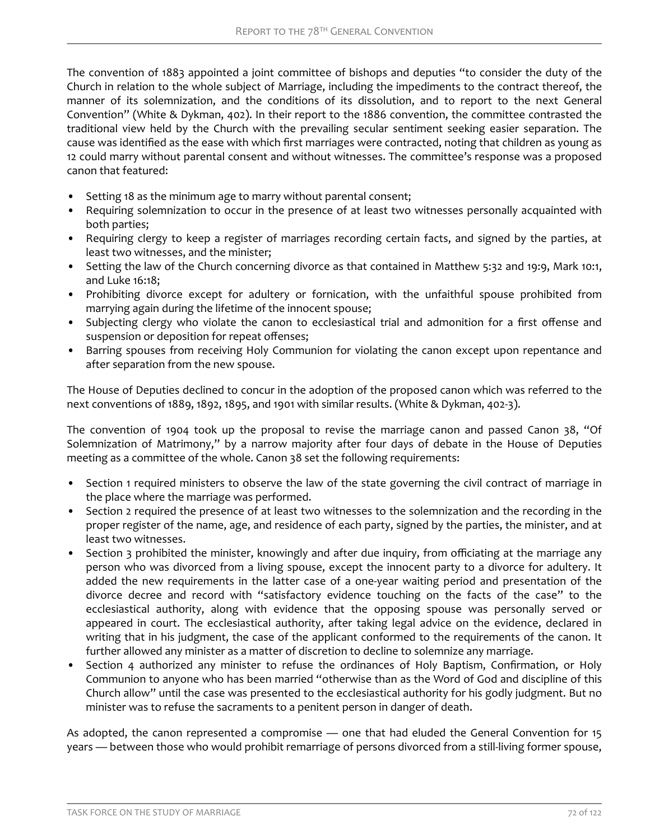The convention of 1883 appointed a joint committee of bishops and deputies "to consider the duty of the Church in relation to the whole subject of Marriage, including the impediments to the contract thereof, the manner of its solemnization, and the conditions of its dissolution, and to report to the next General Convention" (White & Dykman, 402). In their report to the 1886 convention, the committee contrasted the traditional view held by the Church with the prevailing secular sentiment seeking easier separation. The cause was identified as the ease with which first marriages were contracted, noting that children as young as 12 could marry without parental consent and without witnesses. The committee's response was a proposed canon that featured:

- Setting 18 as the minimum age to marry without parental consent;
- Requiring solemnization to occur in the presence of at least two witnesses personally acquainted with both parties;
- Requiring clergy to keep a register of marriages recording certain facts, and signed by the parties, at least two witnesses, and the minister;
- Setting the law of the Church concerning divorce as that contained in Matthew 5:32 and 19:9, Mark 10:1, and Luke 16:18;
- Prohibiting divorce except for adultery or fornication, with the unfaithful spouse prohibited from marrying again during the lifetime of the innocent spouse;
- Subjecting clergy who violate the canon to ecclesiastical trial and admonition for a first offense and suspension or deposition for repeat offenses;
- Barring spouses from receiving Holy Communion for violating the canon except upon repentance and after separation from the new spouse.

The House of Deputies declined to concur in the adoption of the proposed canon which was referred to the next conventions of 1889, 1892, 1895, and 1901 with similar results. (White & Dykman, 402-3).

The convention of 1904 took up the proposal to revise the marriage canon and passed Canon 38, "Of Solemnization of Matrimony," by a narrow majority after four days of debate in the House of Deputies meeting as a committee of the whole. Canon 38 set the following requirements:

- Section 1 required ministers to observe the law of the state governing the civil contract of marriage in the place where the marriage was performed.
- Section 2 required the presence of at least two witnesses to the solemnization and the recording in the proper register of the name, age, and residence of each party, signed by the parties, the minister, and at least two witnesses.
- Section 3 prohibited the minister, knowingly and after due inquiry, from officiating at the marriage any person who was divorced from a living spouse, except the innocent party to a divorce for adultery. It added the new requirements in the latter case of a one-year waiting period and presentation of the divorce decree and record with "satisfactory evidence touching on the facts of the case" to the ecclesiastical authority, along with evidence that the opposing spouse was personally served or appeared in court. The ecclesiastical authority, after taking legal advice on the evidence, declared in writing that in his judgment, the case of the applicant conformed to the requirements of the canon. It further allowed any minister as a matter of discretion to decline to solemnize any marriage.
- Section 4 authorized any minister to refuse the ordinances of Holy Baptism, Confirmation, or Holy Communion to anyone who has been married "otherwise than as the Word of God and discipline of this Church allow" until the case was presented to the ecclesiastical authority for his godly judgment. But no minister was to refuse the sacraments to a penitent person in danger of death.

As adopted, the canon represented a compromise — one that had eluded the General Convention for 15 years — between those who would prohibit remarriage of persons divorced from a still-living former spouse,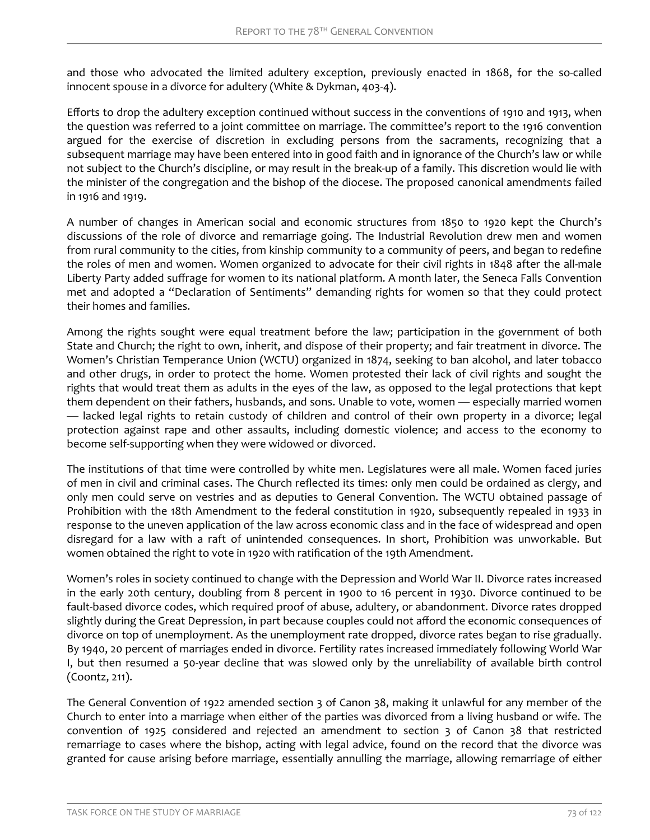and those who advocated the limited adultery exception, previously enacted in 1868, for the so-called innocent spouse in a divorce for adultery (White & Dykman, 403-4).

Efforts to drop the adultery exception continued without success in the conventions of 1910 and 1913, when the question was referred to a joint committee on marriage. The committee's report to the 1916 convention argued for the exercise of discretion in excluding persons from the sacraments, recognizing that a subsequent marriage may have been entered into in good faith and in ignorance of the Church's law or while not subject to the Church's discipline, or may result in the break-up of a family. This discretion would lie with the minister of the congregation and the bishop of the diocese. The proposed canonical amendments failed in 1916 and 1919.

A number of changes in American social and economic structures from 1850 to 1920 kept the Church's discussions of the role of divorce and remarriage going. The Industrial Revolution drew men and women from rural community to the cities, from kinship community to a community of peers, and began to redefine the roles of men and women. Women organized to advocate for their civil rights in 1848 after the all-male Liberty Party added suffrage for women to its national platform. A month later, the Seneca Falls Convention met and adopted a "Declaration of Sentiments" demanding rights for women so that they could protect their homes and families.

Among the rights sought were equal treatment before the law; participation in the government of both State and Church; the right to own, inherit, and dispose of their property; and fair treatment in divorce. The Women's Christian Temperance Union (WCTU) organized in 1874, seeking to ban alcohol, and later tobacco and other drugs, in order to protect the home. Women protested their lack of civil rights and sought the rights that would treat them as adults in the eyes of the law, as opposed to the legal protections that kept them dependent on their fathers, husbands, and sons. Unable to vote, women — especially married women — lacked legal rights to retain custody of children and control of their own property in a divorce; legal protection against rape and other assaults, including domestic violence; and access to the economy to become self-supporting when they were widowed or divorced.

The institutions of that time were controlled by white men. Legislatures were all male. Women faced juries of men in civil and criminal cases. The Church reflected its times: only men could be ordained as clergy, and only men could serve on vestries and as deputies to General Convention. The WCTU obtained passage of Prohibition with the 18th Amendment to the federal constitution in 1920, subsequently repealed in 1933 in response to the uneven application of the law across economic class and in the face of widespread and open disregard for a law with a raft of unintended consequences. In short, Prohibition was unworkable. But women obtained the right to vote in 1920 with ratification of the 19th Amendment.

Women's roles in society continued to change with the Depression and World War II. Divorce rates increased in the early 20th century, doubling from 8 percent in 1900 to 16 percent in 1930. Divorce continued to be fault-based divorce codes, which required proof of abuse, adultery, or abandonment. Divorce rates dropped slightly during the Great Depression, in part because couples could not afford the economic consequences of divorce on top of unemployment. As the unemployment rate dropped, divorce rates began to rise gradually. By 1940, 20 percent of marriages ended in divorce. Fertility rates increased immediately following World War I, but then resumed a 50-year decline that was slowed only by the unreliability of available birth control (Coontz, 211).

The General Convention of 1922 amended section 3 of Canon 38, making it unlawful for any member of the Church to enter into a marriage when either of the parties was divorced from a living husband or wife. The convention of 1925 considered and rejected an amendment to section 3 of Canon 38 that restricted remarriage to cases where the bishop, acting with legal advice, found on the record that the divorce was granted for cause arising before marriage, essentially annulling the marriage, allowing remarriage of either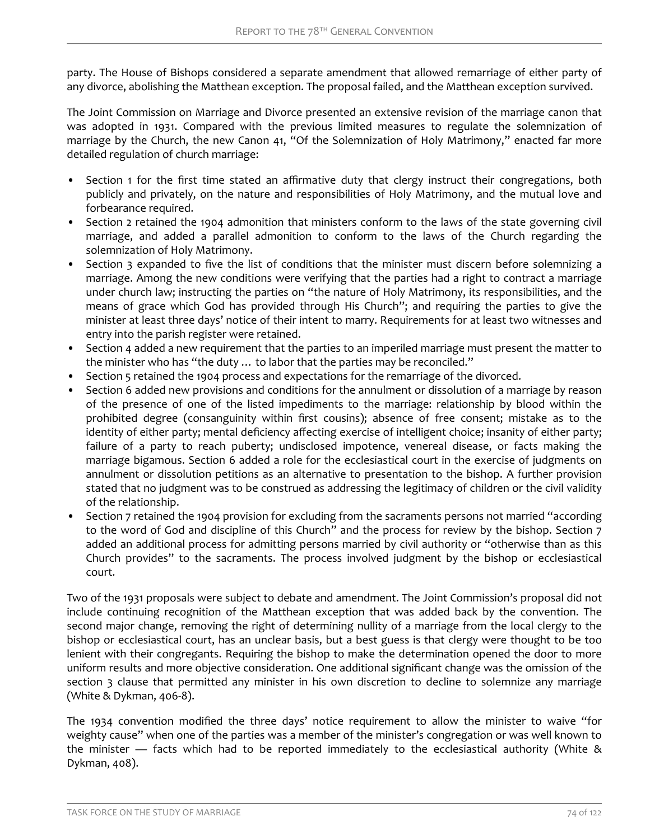party. The House of Bishops considered a separate amendment that allowed remarriage of either party of any divorce, abolishing the Matthean exception. The proposal failed, and the Matthean exception survived.

The Joint Commission on Marriage and Divorce presented an extensive revision of the marriage canon that was adopted in 1931. Compared with the previous limited measures to regulate the solemnization of marriage by the Church, the new Canon 41, "Of the Solemnization of Holy Matrimony," enacted far more detailed regulation of church marriage:

- Section 1 for the first time stated an affirmative duty that clergy instruct their congregations, both publicly and privately, on the nature and responsibilities of Holy Matrimony, and the mutual love and forbearance required.
- Section 2 retained the 1904 admonition that ministers conform to the laws of the state governing civil marriage, and added a parallel admonition to conform to the laws of the Church regarding the solemnization of Holy Matrimony.
- Section 3 expanded to five the list of conditions that the minister must discern before solemnizing a marriage. Among the new conditions were verifying that the parties had a right to contract a marriage under church law; instructing the parties on "the nature of Holy Matrimony, its responsibilities, and the means of grace which God has provided through His Church"; and requiring the parties to give the minister at least three days' notice of their intent to marry. Requirements for at least two witnesses and entry into the parish register were retained.
- Section 4 added a new requirement that the parties to an imperiled marriage must present the matter to the minister who has "the duty … to labor that the parties may be reconciled."
- Section 5 retained the 1904 process and expectations for the remarriage of the divorced.
- Section 6 added new provisions and conditions for the annulment or dissolution of a marriage by reason of the presence of one of the listed impediments to the marriage: relationship by blood within the prohibited degree (consanguinity within first cousins); absence of free consent; mistake as to the identity of either party; mental deficiency affecting exercise of intelligent choice; insanity of either party; failure of a party to reach puberty; undisclosed impotence, venereal disease, or facts making the marriage bigamous. Section 6 added a role for the ecclesiastical court in the exercise of judgments on annulment or dissolution petitions as an alternative to presentation to the bishop. A further provision stated that no judgment was to be construed as addressing the legitimacy of children or the civil validity of the relationship.
- Section 7 retained the 1904 provision for excluding from the sacraments persons not married "according to the word of God and discipline of this Church" and the process for review by the bishop. Section 7 added an additional process for admitting persons married by civil authority or "otherwise than as this Church provides" to the sacraments. The process involved judgment by the bishop or ecclesiastical court.

Two of the 1931 proposals were subject to debate and amendment. The Joint Commission's proposal did not include continuing recognition of the Matthean exception that was added back by the convention. The second major change, removing the right of determining nullity of a marriage from the local clergy to the bishop or ecclesiastical court, has an unclear basis, but a best guess is that clergy were thought to be too lenient with their congregants. Requiring the bishop to make the determination opened the door to more uniform results and more objective consideration. One additional significant change was the omission of the section 3 clause that permitted any minister in his own discretion to decline to solemnize any marriage (White & Dykman, 406-8).

The 1934 convention modified the three days' notice requirement to allow the minister to waive "for weighty cause" when one of the parties was a member of the minister's congregation or was well known to the minister — facts which had to be reported immediately to the ecclesiastical authority (White & Dykman, 408).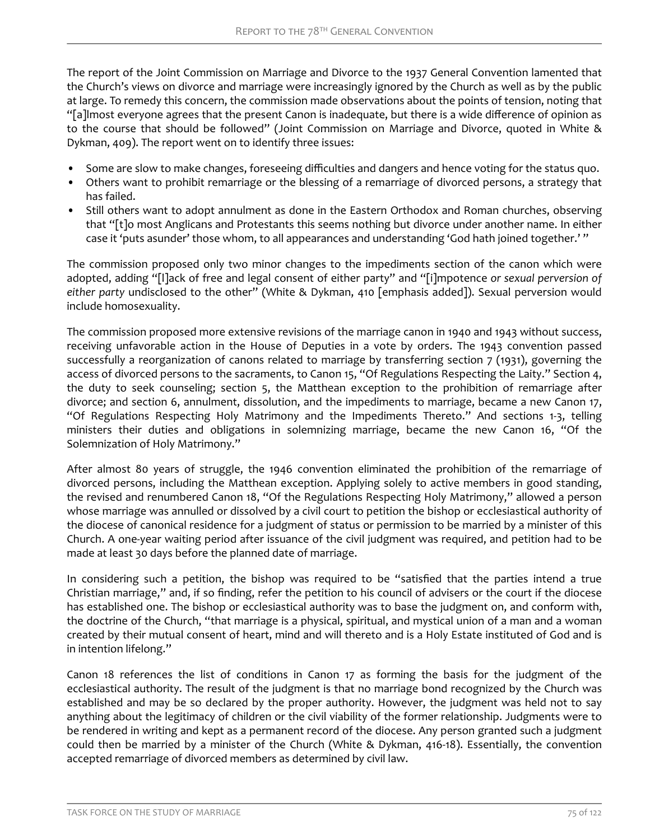The report of the Joint Commission on Marriage and Divorce to the 1937 General Convention lamented that the Church's views on divorce and marriage were increasingly ignored by the Church as well as by the public at large. To remedy this concern, the commission made observations about the points of tension, noting that "[a]lmost everyone agrees that the present Canon is inadequate, but there is a wide difference of opinion as to the course that should be followed" (Joint Commission on Marriage and Divorce, quoted in White & Dykman, 409). The report went on to identify three issues:

- Some are slow to make changes, foreseeing difficulties and dangers and hence voting for the status quo.
- Others want to prohibit remarriage or the blessing of a remarriage of divorced persons, a strategy that has failed.
- Still others want to adopt annulment as done in the Eastern Orthodox and Roman churches, observing that "[t]o most Anglicans and Protestants this seems nothing but divorce under another name. In either case it 'puts asunder' those whom, to all appearances and understanding 'God hath joined together.' "

The commission proposed only two minor changes to the impediments section of the canon which were adopted, adding "[l]ack of free and legal consent of either party" and "[i]mpotence *or sexual perversion of either party* undisclosed to the other" (White & Dykman, 410 [emphasis added]). Sexual perversion would include homosexuality.

The commission proposed more extensive revisions of the marriage canon in 1940 and 1943 without success, receiving unfavorable action in the House of Deputies in a vote by orders. The 1943 convention passed successfully a reorganization of canons related to marriage by transferring section 7 (1931), governing the access of divorced persons to the sacraments, to Canon 15, "Of Regulations Respecting the Laity." Section 4, the duty to seek counseling; section 5, the Matthean exception to the prohibition of remarriage after divorce; and section 6, annulment, dissolution, and the impediments to marriage, became a new Canon 17, "Of Regulations Respecting Holy Matrimony and the Impediments Thereto." And sections 1-3, telling ministers their duties and obligations in solemnizing marriage, became the new Canon 16, "Of the Solemnization of Holy Matrimony."

After almost 80 years of struggle, the 1946 convention eliminated the prohibition of the remarriage of divorced persons, including the Matthean exception. Applying solely to active members in good standing, the revised and renumbered Canon 18, "Of the Regulations Respecting Holy Matrimony," allowed a person whose marriage was annulled or dissolved by a civil court to petition the bishop or ecclesiastical authority of the diocese of canonical residence for a judgment of status or permission to be married by a minister of this Church. A one-year waiting period after issuance of the civil judgment was required, and petition had to be made at least 30 days before the planned date of marriage.

In considering such a petition, the bishop was required to be "satisfied that the parties intend a true Christian marriage," and, if so finding, refer the petition to his council of advisers or the court if the diocese has established one. The bishop or ecclesiastical authority was to base the judgment on, and conform with, the doctrine of the Church, "that marriage is a physical, spiritual, and mystical union of a man and a woman created by their mutual consent of heart, mind and will thereto and is a Holy Estate instituted of God and is in intention lifelong."

Canon 18 references the list of conditions in Canon 17 as forming the basis for the judgment of the ecclesiastical authority. The result of the judgment is that no marriage bond recognized by the Church was established and may be so declared by the proper authority. However, the judgment was held not to say anything about the legitimacy of children or the civil viability of the former relationship. Judgments were to be rendered in writing and kept as a permanent record of the diocese. Any person granted such a judgment could then be married by a minister of the Church (White & Dykman, 416-18). Essentially, the convention accepted remarriage of divorced members as determined by civil law.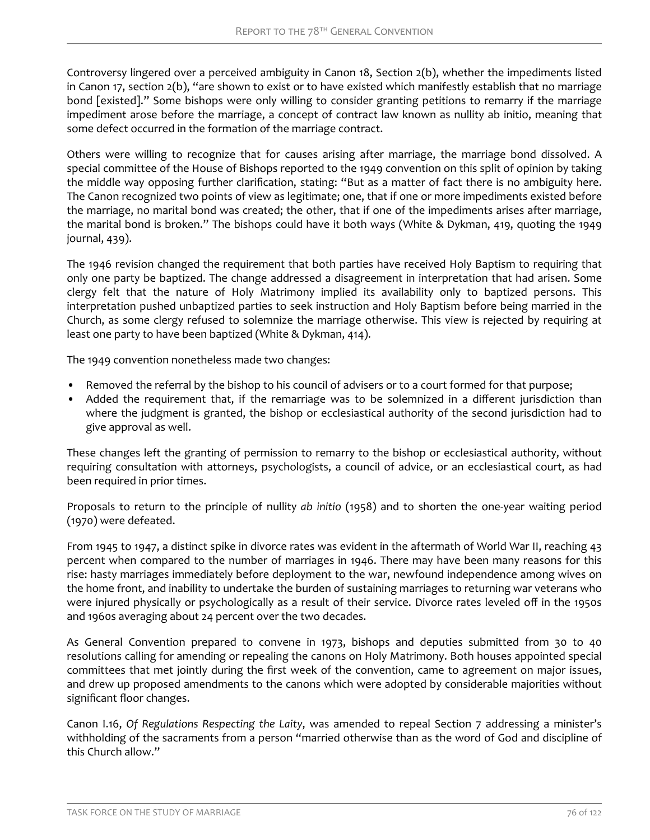Controversy lingered over a perceived ambiguity in Canon 18, Section 2(b), whether the impediments listed in Canon 17, section 2(b), "are shown to exist or to have existed which manifestly establish that no marriage bond [existed]." Some bishops were only willing to consider granting petitions to remarry if the marriage impediment arose before the marriage, a concept of contract law known as nullity ab initio, meaning that some defect occurred in the formation of the marriage contract.

Others were willing to recognize that for causes arising after marriage, the marriage bond dissolved. A special committee of the House of Bishops reported to the 1949 convention on this split of opinion by taking the middle way opposing further clarification, stating: "But as a matter of fact there is no ambiguity here. The Canon recognized two points of view as legitimate; one, that if one or more impediments existed before the marriage, no marital bond was created; the other, that if one of the impediments arises after marriage, the marital bond is broken." The bishops could have it both ways (White & Dykman, 419, quoting the 1949 journal, 439).

The 1946 revision changed the requirement that both parties have received Holy Baptism to requiring that only one party be baptized. The change addressed a disagreement in interpretation that had arisen. Some clergy felt that the nature of Holy Matrimony implied its availability only to baptized persons. This interpretation pushed unbaptized parties to seek instruction and Holy Baptism before being married in the Church, as some clergy refused to solemnize the marriage otherwise. This view is rejected by requiring at least one party to have been baptized (White & Dykman, 414).

The 1949 convention nonetheless made two changes:

- Removed the referral by the bishop to his council of advisers or to a court formed for that purpose;
- Added the requirement that, if the remarriage was to be solemnized in a different jurisdiction than where the judgment is granted, the bishop or ecclesiastical authority of the second jurisdiction had to give approval as well.

These changes left the granting of permission to remarry to the bishop or ecclesiastical authority, without requiring consultation with attorneys, psychologists, a council of advice, or an ecclesiastical court, as had been required in prior times.

Proposals to return to the principle of nullity *ab initio* (1958) and to shorten the one-year waiting period (1970) were defeated.

From 1945 to 1947, a distinct spike in divorce rates was evident in the aftermath of World War II, reaching 43 percent when compared to the number of marriages in 1946. There may have been many reasons for this rise: hasty marriages immediately before deployment to the war, newfound independence among wives on the home front, and inability to undertake the burden of sustaining marriages to returning war veterans who were injured physically or psychologically as a result of their service. Divorce rates leveled off in the 1950s and 1960s averaging about 24 percent over the two decades.

As General Convention prepared to convene in 1973, bishops and deputies submitted from 30 to 40 resolutions calling for amending or repealing the canons on Holy Matrimony. Both houses appointed special committees that met jointly during the first week of the convention, came to agreement on major issues, and drew up proposed amendments to the canons which were adopted by considerable majorities without significant floor changes.

Canon I.16, *Of Regulations Respecting the Laity*, was amended to repeal Section 7 addressing a minister's withholding of the sacraments from a person "married otherwise than as the word of God and discipline of this Church allow."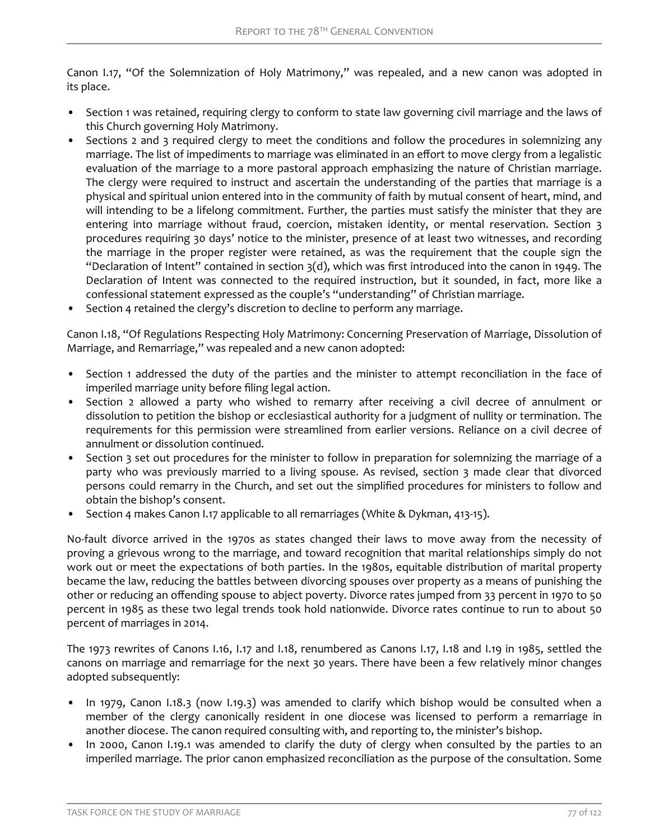Canon I.17, "Of the Solemnization of Holy Matrimony," was repealed, and a new canon was adopted in its place.

- Section 1 was retained, requiring clergy to conform to state law governing civil marriage and the laws of this Church governing Holy Matrimony.
- Sections 2 and 3 required clergy to meet the conditions and follow the procedures in solemnizing any marriage. The list of impediments to marriage was eliminated in an effort to move clergy from a legalistic evaluation of the marriage to a more pastoral approach emphasizing the nature of Christian marriage. The clergy were required to instruct and ascertain the understanding of the parties that marriage is a physical and spiritual union entered into in the community of faith by mutual consent of heart, mind, and will intending to be a lifelong commitment. Further, the parties must satisfy the minister that they are entering into marriage without fraud, coercion, mistaken identity, or mental reservation. Section 3 procedures requiring 30 days' notice to the minister, presence of at least two witnesses, and recording the marriage in the proper register were retained, as was the requirement that the couple sign the "Declaration of Intent" contained in section 3(d), which was first introduced into the canon in 1949. The Declaration of Intent was connected to the required instruction, but it sounded, in fact, more like a confessional statement expressed as the couple's "understanding" of Christian marriage.
- Section 4 retained the clergy's discretion to decline to perform any marriage.

Canon I.18, "Of Regulations Respecting Holy Matrimony: Concerning Preservation of Marriage, Dissolution of Marriage, and Remarriage," was repealed and a new canon adopted:

- Section 1 addressed the duty of the parties and the minister to attempt reconciliation in the face of imperiled marriage unity before filing legal action.
- Section 2 allowed a party who wished to remarry after receiving a civil decree of annulment or dissolution to petition the bishop or ecclesiastical authority for a judgment of nullity or termination. The requirements for this permission were streamlined from earlier versions. Reliance on a civil decree of annulment or dissolution continued.
- Section 3 set out procedures for the minister to follow in preparation for solemnizing the marriage of a party who was previously married to a living spouse. As revised, section 3 made clear that divorced persons could remarry in the Church, and set out the simplified procedures for ministers to follow and obtain the bishop's consent.
- Section 4 makes Canon I.17 applicable to all remarriages (White & Dykman, 413-15).

No-fault divorce arrived in the 1970s as states changed their laws to move away from the necessity of proving a grievous wrong to the marriage, and toward recognition that marital relationships simply do not work out or meet the expectations of both parties. In the 1980s, equitable distribution of marital property became the law, reducing the battles between divorcing spouses over property as a means of punishing the other or reducing an offending spouse to abject poverty. Divorce rates jumped from 33 percent in 1970 to 50 percent in 1985 as these two legal trends took hold nationwide. Divorce rates continue to run to about 50 percent of marriages in 2014.

The 1973 rewrites of Canons I.16, I.17 and I.18, renumbered as Canons I.17, I.18 and I.19 in 1985, settled the canons on marriage and remarriage for the next 30 years. There have been a few relatively minor changes adopted subsequently:

- In 1979, Canon I.18.3 (now I.19.3) was amended to clarify which bishop would be consulted when a member of the clergy canonically resident in one diocese was licensed to perform a remarriage in another diocese. The canon required consulting with, and reporting to, the minister's bishop.
- In 2000, Canon I.19.1 was amended to clarify the duty of clergy when consulted by the parties to an imperiled marriage. The prior canon emphasized reconciliation as the purpose of the consultation. Some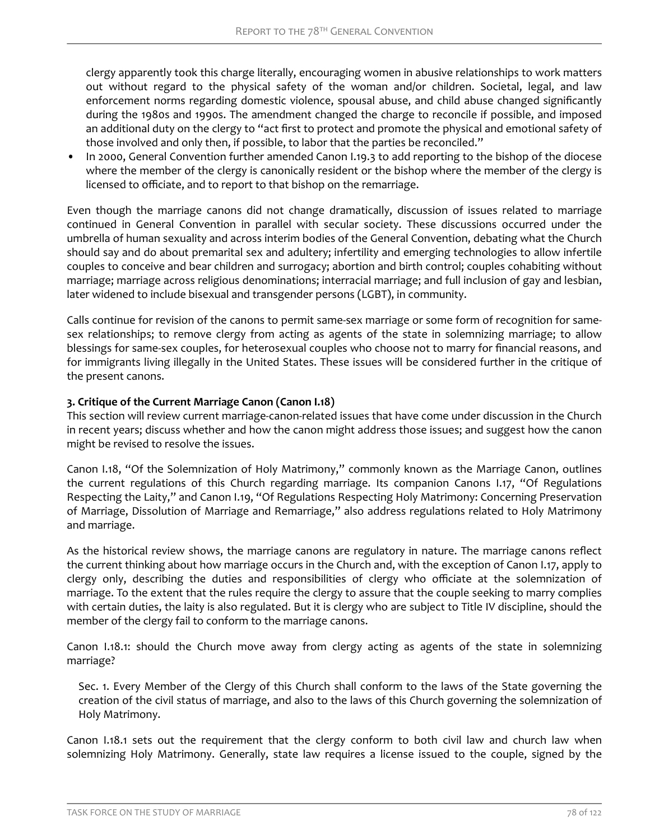clergy apparently took this charge literally, encouraging women in abusive relationships to work matters out without regard to the physical safety of the woman and/or children. Societal, legal, and law enforcement norms regarding domestic violence, spousal abuse, and child abuse changed significantly during the 1980s and 1990s. The amendment changed the charge to reconcile if possible, and imposed an additional duty on the clergy to "act first to protect and promote the physical and emotional safety of those involved and only then, if possible, to labor that the parties be reconciled."

• In 2000, General Convention further amended Canon I.19.3 to add reporting to the bishop of the diocese where the member of the clergy is canonically resident or the bishop where the member of the clergy is licensed to officiate, and to report to that bishop on the remarriage.

Even though the marriage canons did not change dramatically, discussion of issues related to marriage continued in General Convention in parallel with secular society. These discussions occurred under the umbrella of human sexuality and across interim bodies of the General Convention, debating what the Church should say and do about premarital sex and adultery; infertility and emerging technologies to allow infertile couples to conceive and bear children and surrogacy; abortion and birth control; couples cohabiting without marriage; marriage across religious denominations; interracial marriage; and full inclusion of gay and lesbian, later widened to include bisexual and transgender persons (LGBT), in community.

Calls continue for revision of the canons to permit same-sex marriage or some form of recognition for samesex relationships; to remove clergy from acting as agents of the state in solemnizing marriage; to allow blessings for same-sex couples, for heterosexual couples who choose not to marry for financial reasons, and for immigrants living illegally in the United States. These issues will be considered further in the critique of the present canons.

# **3. Critique of the Current Marriage Canon (Canon I.18)**

This section will review current marriage-canon-related issues that have come under discussion in the Church in recent years; discuss whether and how the canon might address those issues; and suggest how the canon might be revised to resolve the issues.

Canon I.18, "Of the Solemnization of Holy Matrimony," commonly known as the Marriage Canon, outlines the current regulations of this Church regarding marriage. Its companion Canons I.17, "Of Regulations Respecting the Laity," and Canon I.19, "Of Regulations Respecting Holy Matrimony: Concerning Preservation of Marriage, Dissolution of Marriage and Remarriage," also address regulations related to Holy Matrimony and marriage.

As the historical review shows, the marriage canons are regulatory in nature. The marriage canons reflect the current thinking about how marriage occurs in the Church and, with the exception of Canon I.17, apply to clergy only, describing the duties and responsibilities of clergy who officiate at the solemnization of marriage. To the extent that the rules require the clergy to assure that the couple seeking to marry complies with certain duties, the laity is also regulated. But it is clergy who are subject to Title IV discipline, should the member of the clergy fail to conform to the marriage canons.

Canon I.18.1: should the Church move away from clergy acting as agents of the state in solemnizing marriage?

Sec. 1. Every Member of the Clergy of this Church shall conform to the laws of the State governing the creation of the civil status of marriage, and also to the laws of this Church governing the solemnization of Holy Matrimony.

Canon I.18.1 sets out the requirement that the clergy conform to both civil law and church law when solemnizing Holy Matrimony. Generally, state law requires a license issued to the couple, signed by the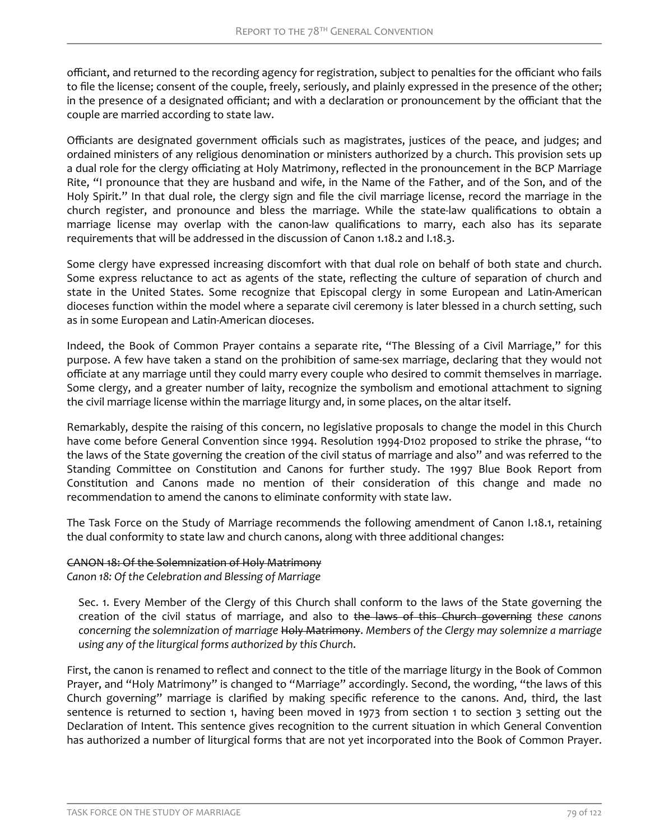officiant, and returned to the recording agency for registration, subject to penalties for the officiant who fails to file the license; consent of the couple, freely, seriously, and plainly expressed in the presence of the other; in the presence of a designated officiant; and with a declaration or pronouncement by the officiant that the couple are married according to state law.

fficiants are designated government officials such as magistrates, justices of the peace, and judges; and ordained ministers of any religious denomination or ministers authorized by a church. This provision sets up a dual role for the clergy officiating at Holy Matrimony, reflected in the pronouncement in the BCP Marriage Rite, "I pronounce that they are husband and wife, in the Name of the Father, and of the Son, and of the Holy Spirit." In that dual role, the clergy sign and file the civil marriage license, record the marriage in the church register, and pronounce and bless the marriage. While the state-law qualifications to obtain a marriage license may overlap with the canon-law qualifications to marry, each also has its separate requirements that will be addressed in the discussion of Canon 1.18.2 and I.18.3.

Some clergy have expressed increasing discomfort with that dual role on behalf of both state and church. Some express reluctance to act as agents of the state, reflecting the culture of separation of church and state in the United States. Some recognize that Episcopal clergy in some European and Latin-American dioceses function within the model where a separate civil ceremony is later blessed in a church setting, such as in some European and Latin-American dioceses.

Indeed, the Book of Common Prayer contains a separate rite, "The Blessing of a Civil Marriage," for this purpose. A few have taken a stand on the prohibition of same-sex marriage, declaring that they would not officiate at any marriage until they could marry every couple who desired to commit themselves in marriage. Some clergy, and a greater number of laity, recognize the symbolism and emotional attachment to signing the civil marriage license within the marriage liturgy and, in some places, on the altar itself.

Remarkably, despite the raising of this concern, no legislative proposals to change the model in this Church have come before General Convention since 1994. Resolution 1994-D102 proposed to strike the phrase, "to the laws of the State governing the creation of the civil status of marriage and also" and was referred to the Standing Committee on Constitution and Canons for further study. The 1997 Blue Book Report from Constitution and Canons made no mention of their consideration of this change and made no recommendation to amend the canons to eliminate conformity with state law.

The Task Force on the Study of Marriage recommends the following amendment of Canon I.18.1, retaining the dual conformity to state law and church canons, along with three additional changes:

# CANON 18: Of the Solemnization of Holy Matrimony

*Canon 18: Of the Celebration and Blessing of Marriage*

Sec. 1. Every Member of the Clergy of this Church shall conform to the laws of the State governing the creation of the civil status of marriage, and also to the laws of this Church governing *these canons concerning the solemnization of marriage* Holy Matrimony. *Members of the Clergy may solemnize a marriage using any of the liturgical forms authorized by this Church*.

First, the canon is renamed to reflect and connect to the title of the marriage liturgy in the Book of Common Prayer, and "Holy Matrimony" is changed to "Marriage" accordingly. Second, the wording, "the laws of this Church governing" marriage is clarified by making specific reference to the canons. And, third, the last sentence is returned to section 1, having been moved in 1973 from section 1 to section 3 setting out the Declaration of Intent. This sentence gives recognition to the current situation in which General Convention has authorized a number of liturgical forms that are not yet incorporated into the Book of Common Prayer.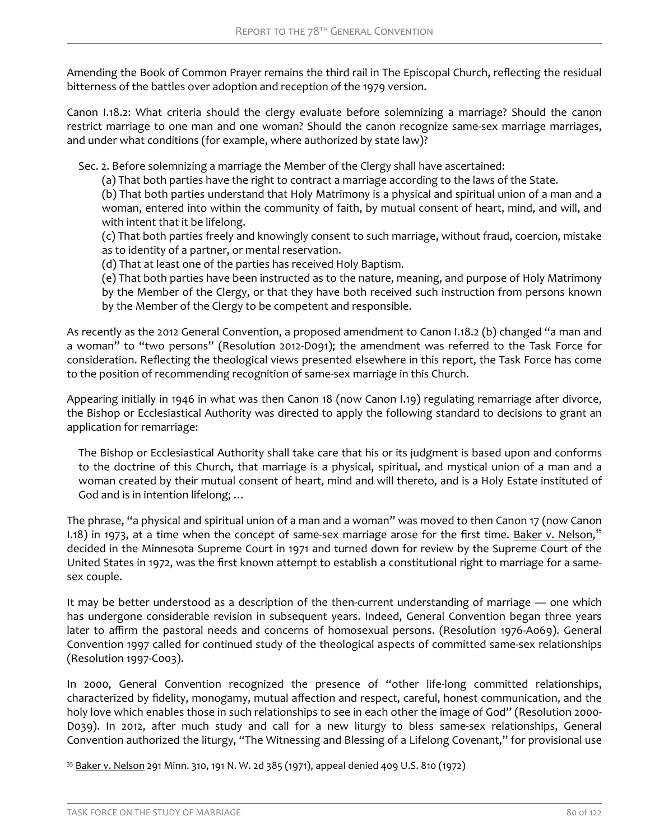Amending the Book of Common Prayer remains the third rail in The Episcopal Church, reflecting the residual bitterness of the battles over adoption and reception of the 1979 version.

Canon I.18.2: What criteria should the clergy evaluate before solemnizing a marriage? Should the canon restrict marriage to one man and one woman? Should the canon recognize same-sex marriage marriages, and under what conditions (for example, where authorized by state law)?

Sec. 2. Before solemnizing a marriage the Member of the Clergy shall have ascertained:

(a) That both parties have the right to contract a marriage according to the laws of the State.

(b) That both parties understand that Holy Matrimony is a physical and spiritual union of a man and a woman, entered into within the community of faith, by mutual consent of heart, mind, and will, and with intent that it be lifelong.

(c) That both parties freely and knowingly consent to such marriage, without fraud, coercion, mistake as to identity of a partner, or mental reservation.

(d) That at least one of the parties has received Holy Baptism.

(e) That both parties have been instructed as to the nature, meaning, and purpose of Holy Matrimony by the Member of the Clergy, or that they have both received such instruction from persons known

by the Member of the Clergy to be competent and responsible.

As recently as the 2012 General Convention, a proposed amendment to Canon I.18.2 (b) changed "a man and a woman" to "two persons" (Resolution 2012-D091); the amendment was referred to the Task Force for consideration. Reflecting the theological views presented elsewhere in this report, the Task Force has come to the position of recommending recognition of same-sex marriage in this Church.

Appearing initially in 1946 in what was then Canon 18 (now Canon I.19) regulating remarriage after divorce, the Bishop or Ecclesiastical Authority was directed to apply the following standard to decisions to grant an application for remarriage:

The Bishop or Ecclesiastical Authority shall take care that his or its judgment is based upon and conforms to the doctrine of this Church, that marriage is a physical, spiritual, and mystical union of a man and a woman created by their mutual consent of heart, mind and will thereto, and is a Holy Estate instituted of God and is in intention lifelong; …

The phrase, "a physical and spiritual union of a man and a woman" was moved to then Canon 17 (now Canon 1.18) in 1973, at a time when the concept of same-sex marriage arose for the first time. Baker v. Nelson,  $35$ decided in the Minnesota Supreme Court in 1971 and turned down for review by the Supreme Court of the United States in 1972, was the first known attempt to establish a constitutional right to marriage for a samesex couple.

It may be better understood as a description of the then-current understanding of marriage — one which has undergone considerable revision in subsequent years. Indeed, General Convention began three years later to affirm the pastoral needs and concerns of homosexual persons. (Resolution 1976-A069). General Convention 1997 called for continued study of the theological aspects of committed same-sex relationships (Resolution 1997-C003).

In 2000, General Convention recognized the presence of "other life-long committed relationships, characterized by fidelity, monogamy, mutual affection and respect, careful, honest communication, and the holy love which enables those in such relationships to see in each other the image of God" (Resolution 2000- D039). In 2012, after much study and call for a new liturgy to bless same-sex relationships, General Convention authorized the liturgy, "The Witnessing and Blessing of a Lifelong Covenant," for provisional use

35 Baker v. Nelson 291 Minn. 310, 191 N. W. 2d 385 (1971), appeal denied 409 U.S. 810 (1972)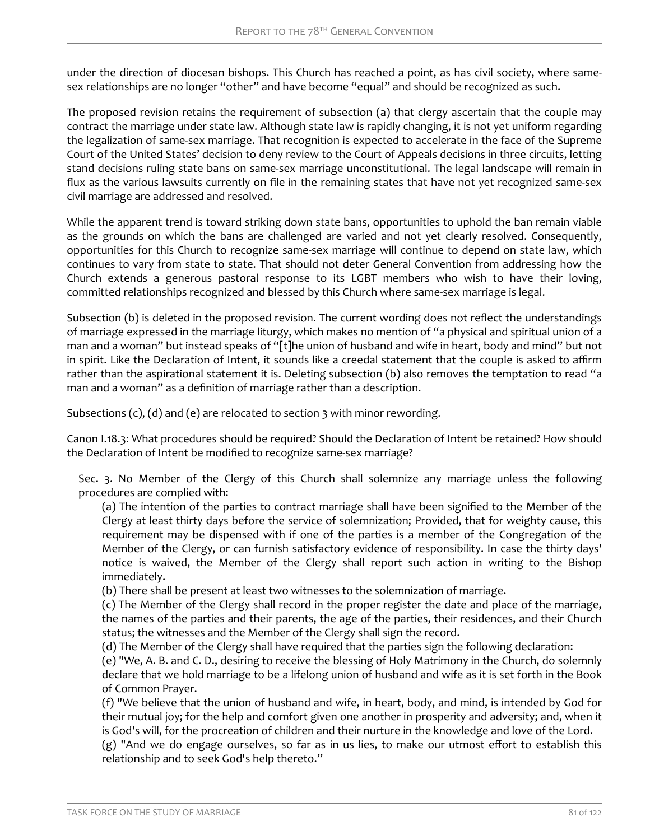under the direction of diocesan bishops. This Church has reached a point, as has civil society, where samesex relationships are no longer "other" and have become "equal" and should be recognized as such.

The proposed revision retains the requirement of subsection (a) that clergy ascertain that the couple may contract the marriage under state law. Although state law is rapidly changing, it is not yet uniform regarding the legalization of same-sex marriage. That recognition is expected to accelerate in the face of the Supreme Court of the United States' decision to deny review to the Court of Appeals decisions in three circuits, letting stand decisions ruling state bans on same-sex marriage unconstitutional. The legal landscape will remain in flux as the various lawsuits currently on file in the remaining states that have not yet recognized same-sex civil marriage are addressed and resolved.

While the apparent trend is toward striking down state bans, opportunities to uphold the ban remain viable as the grounds on which the bans are challenged are varied and not yet clearly resolved. Consequently, opportunities for this Church to recognize same-sex marriage will continue to depend on state law, which continues to vary from state to state. That should not deter General Convention from addressing how the Church extends a generous pastoral response to its LGBT members who wish to have their loving, committed relationships recognized and blessed by this Church where same-sex marriage is legal.

Subsection (b) is deleted in the proposed revision. The current wording does not reflect the understandings of marriage expressed in the marriage liturgy, which makes no mention of "a physical and spiritual union of a man and a woman" but instead speaks of "[t]he union of husband and wife in heart, body and mind" but not in spirit. Like the Declaration of Intent, it sounds like a creedal statement that the couple is asked to affirm rather than the aspirational statement it is. Deleting subsection (b) also removes the temptation to read "a man and a woman" as a definition of marriage rather than a description.

Subsections (c), (d) and (e) are relocated to section 3 with minor rewording.

Canon I.18.3: What procedures should be required? Should the Declaration of Intent be retained? How should the Declaration of Intent be modified to recognize same-sex marriage?

Sec. 3. No Member of the Clergy of this Church shall solemnize any marriage unless the following procedures are complied with:

(a) The intention of the parties to contract marriage shall have been signified to the Member of the Clergy at least thirty days before the service of solemnization; Provided, that for weighty cause, this requirement may be dispensed with if one of the parties is a member of the Congregation of the Member of the Clergy, or can furnish satisfactory evidence of responsibility. In case the thirty days' notice is waived, the Member of the Clergy shall report such action in writing to the Bishop immediately.

(b) There shall be present at least two witnesses to the solemnization of marriage.

(c) The Member of the Clergy shall record in the proper register the date and place of the marriage, the names of the parties and their parents, the age of the parties, their residences, and their Church status; the witnesses and the Member of the Clergy shall sign the record.

(d) The Member of the Clergy shall have required that the parties sign the following declaration:

(e) "We, A. B. and C. D., desiring to receive the blessing of Holy Matrimony in the Church, do solemnly declare that we hold marriage to be a lifelong union of husband and wife as it is set forth in the Book of Common Prayer.

(f) "We believe that the union of husband and wife, in heart, body, and mind, is intended by God for their mutual joy; for the help and comfort given one another in prosperity and adversity; and, when it is God's will, for the procreation of children and their nurture in the knowledge and love of the Lord.

(g) "And we do engage ourselves, so far as in us lies, to make our utmost effort to establish this relationship and to seek God's help thereto."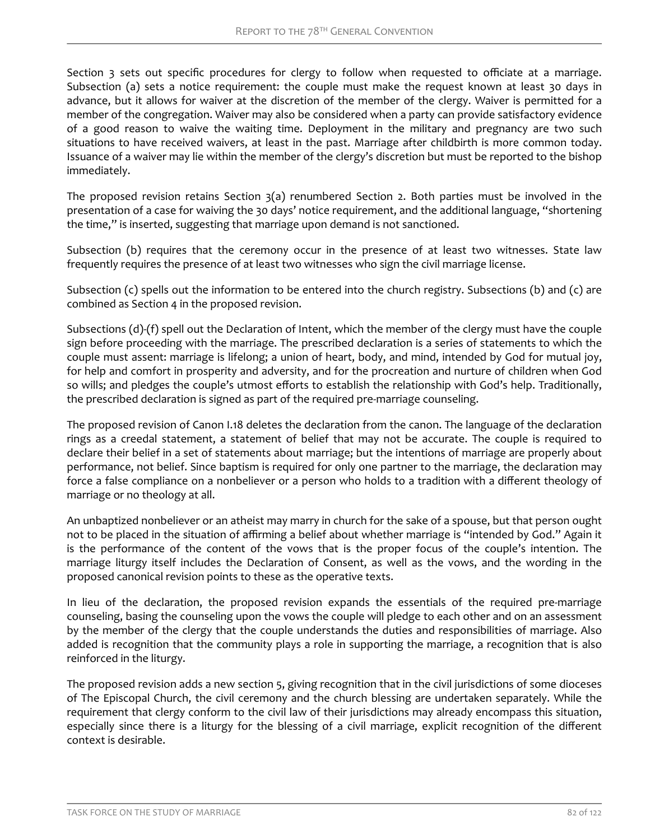Section 3 sets out specific procedures for clergy to follow when requested to officiate at a marriage. Subsection (a) sets a notice requirement: the couple must make the request known at least 30 days in advance, but it allows for waiver at the discretion of the member of the clergy. Waiver is permitted for a member of the congregation. Waiver may also be considered when a party can provide satisfactory evidence of a good reason to waive the waiting time. Deployment in the military and pregnancy are two such situations to have received waivers, at least in the past. Marriage after childbirth is more common today. Issuance of a waiver may lie within the member of the clergy's discretion but must be reported to the bishop immediately.

The proposed revision retains Section 3(a) renumbered Section 2. Both parties must be involved in the presentation of a case for waiving the 30 days' notice requirement, and the additional language, "shortening the time," is inserted, suggesting that marriage upon demand is not sanctioned.

Subsection (b) requires that the ceremony occur in the presence of at least two witnesses. State law frequently requires the presence of at least two witnesses who sign the civil marriage license.

Subsection (c) spells out the information to be entered into the church registry. Subsections (b) and (c) are combined as Section 4 in the proposed revision.

Subsections (d)-(f) spell out the Declaration of Intent, which the member of the clergy must have the couple sign before proceeding with the marriage. The prescribed declaration is a series of statements to which the couple must assent: marriage is lifelong; a union of heart, body, and mind, intended by God for mutual joy, for help and comfort in prosperity and adversity, and for the procreation and nurture of children when God so wills; and pledges the couple's utmost efforts to establish the relationship with God's help. Traditionally, the prescribed declaration is signed as part of the required pre-marriage counseling.

The proposed revision of Canon I.18 deletes the declaration from the canon. The language of the declaration rings as a creedal statement, a statement of belief that may not be accurate. The couple is required to declare their belief in a set of statements about marriage; but the intentions of marriage are properly about performance, not belief. Since baptism is required for only one partner to the marriage, the declaration may force a false compliance on a nonbeliever or a person who holds to a tradition with a different theology of marriage or no theology at all.

An unbaptized nonbeliever or an atheist may marry in church for the sake of a spouse, but that person ought not to be placed in the situation of affirming a belief about whether marriage is "intended by God." Again it is the performance of the content of the vows that is the proper focus of the couple's intention. The marriage liturgy itself includes the Declaration of Consent, as well as the vows, and the wording in the proposed canonical revision points to these as the operative texts.

In lieu of the declaration, the proposed revision expands the essentials of the required pre-marriage counseling, basing the counseling upon the vows the couple will pledge to each other and on an assessment by the member of the clergy that the couple understands the duties and responsibilities of marriage. Also added is recognition that the community plays a role in supporting the marriage, a recognition that is also reinforced in the liturgy.

The proposed revision adds a new section 5, giving recognition that in the civil jurisdictions of some dioceses of The Episcopal Church, the civil ceremony and the church blessing are undertaken separately. While the requirement that clergy conform to the civil law of their jurisdictions may already encompass this situation, especially since there is a liturgy for the blessing of a civil marriage, explicit recognition of the different context is desirable.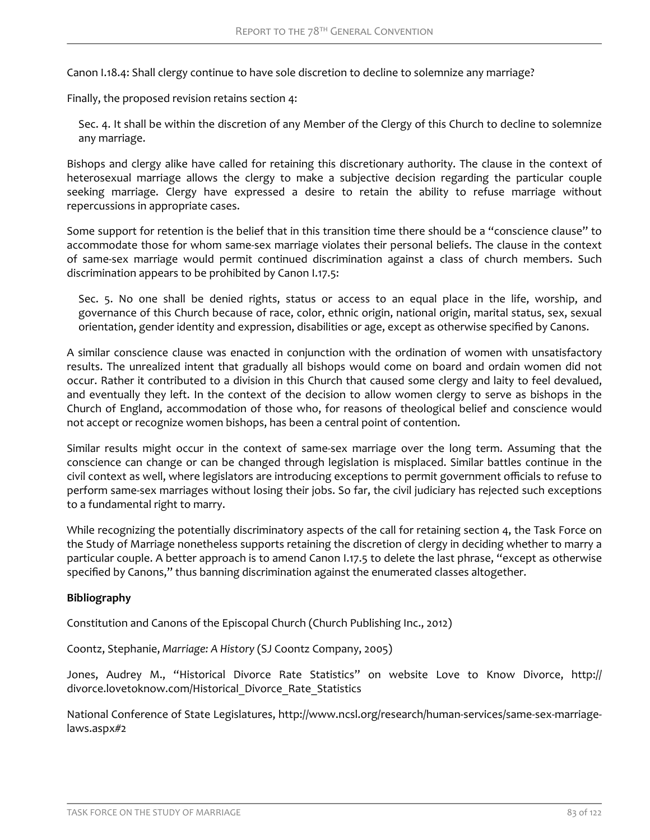Canon I.18.4: Shall clergy continue to have sole discretion to decline to solemnize any marriage?

Finally, the proposed revision retains section 4:

Sec. 4. It shall be within the discretion of any Member of the Clergy of this Church to decline to solemnize any marriage.

Bishops and clergy alike have called for retaining this discretionary authority. The clause in the context of heterosexual marriage allows the clergy to make a subjective decision regarding the particular couple seeking marriage. Clergy have expressed a desire to retain the ability to refuse marriage without repercussions in appropriate cases.

Some support for retention is the belief that in this transition time there should be a "conscience clause" to accommodate those for whom same-sex marriage violates their personal beliefs. The clause in the context of same-sex marriage would permit continued discrimination against a class of church members. Such discrimination appears to be prohibited by Canon I.17.5:

Sec. 5. No one shall be denied rights, status or access to an equal place in the life, worship, and governance of this Church because of race, color, ethnic origin, national origin, marital status, sex, sexual orientation, gender identity and expression, disabilities or age, except as otherwise specified by Canons.

A similar conscience clause was enacted in conjunction with the ordination of women with unsatisfactory results. The unrealized intent that gradually all bishops would come on board and ordain women did not occur. Rather it contributed to a division in this Church that caused some clergy and laity to feel devalued, and eventually they left. In the context of the decision to allow women clergy to serve as bishops in the Church of England, accommodation of those who, for reasons of theological belief and conscience would not accept or recognize women bishops, has been a central point of contention.

Similar results might occur in the context of same-sex marriage over the long term. Assuming that the conscience can change or can be changed through legislation is misplaced. Similar battles continue in the civil context as well, where legislators are introducing exceptions to permit government officials to refuse to perform same-sex marriages without losing their jobs. So far, the civil judiciary has rejected such exceptions to a fundamental right to marry.

While recognizing the potentially discriminatory aspects of the call for retaining section 4, the Task Force on the Study of Marriage nonetheless supports retaining the discretion of clergy in deciding whether to marry a particular couple. A better approach is to amend Canon I.17.5 to delete the last phrase, "except as otherwise specified by Canons," thus banning discrimination against the enumerated classes altogether.

# **Bibliography**

Constitution and Canons of the Episcopal Church (Church Publishing Inc., 2012)

Coontz, Stephanie, *Marriage: A History* (SJ Coontz Company, 2005)

Jones, Audrey M., "Historical Divorce Rate Statistics" on website Love to Know Divorce, http:// divorce.lovetoknow.com/Historical\_Divorce\_Rate\_Statistics

National Conference of State Legislatures, http://www.ncsl.org/research/human-services/same-sex-marriagelaws.aspx#2